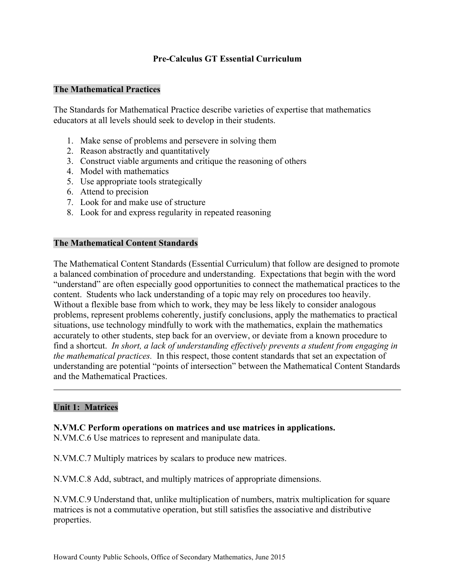## **Pre-Calculus GT Essential Curriculum**

#### **The Mathematical Practices**

The Standards for Mathematical Practice describe varieties of expertise that mathematics educators at all levels should seek to develop in their students.

- 1. Make sense of problems and persevere in solving them
- 2. Reason abstractly and quantitatively
- 3. Construct viable arguments and critique the reasoning of others
- 4. Model with mathematics
- 5. Use appropriate tools strategically
- 6. Attend to precision
- 7. Look for and make use of structure
- 8. Look for and express regularity in repeated reasoning

#### **The Mathematical Content Standards**

The Mathematical Content Standards (Essential Curriculum) that follow are designed to promote a balanced combination of procedure and understanding. Expectations that begin with the word "understand" are often especially good opportunities to connect the mathematical practices to the content. Students who lack understanding of a topic may rely on procedures too heavily. Without a flexible base from which to work, they may be less likely to consider analogous problems, represent problems coherently, justify conclusions, apply the mathematics to practical situations, use technology mindfully to work with the mathematics, explain the mathematics accurately to other students, step back for an overview, or deviate from a known procedure to find a shortcut. *In short, a lack of understanding effectively prevents a student from engaging in the mathematical practices.* In this respect, those content standards that set an expectation of understanding are potential "points of intersection" between the Mathematical Content Standards and the Mathematical Practices.

#### **Unit 1: Matrices**

#### **N.VM.C Perform operations on matrices and use matrices in applications.**

N.VM.C.6 Use matrices to represent and manipulate data.

N.VM.C.7 Multiply matrices by scalars to produce new matrices.

N.VM.C.8 Add, subtract, and multiply matrices of appropriate dimensions.

N.VM.C.9 Understand that, unlike multiplication of numbers, matrix multiplication for square matrices is not a commutative operation, but still satisfies the associative and distributive properties.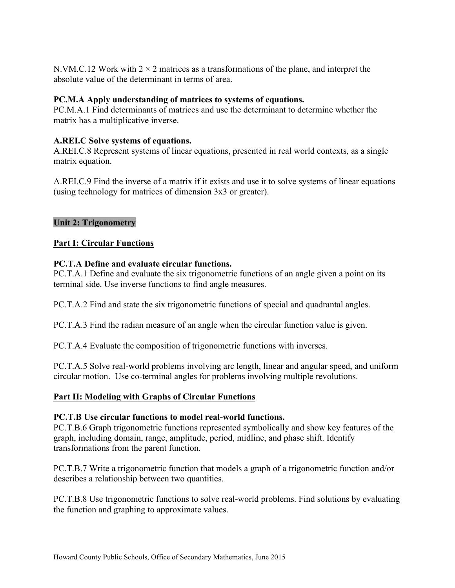N.VM.C.12 Work with  $2 \times 2$  matrices as a transformations of the plane, and interpret the absolute value of the determinant in terms of area.

## **PC.M.A Apply understanding of matrices to systems of equations.**

PC.M.A.1 Find determinants of matrices and use the determinant to determine whether the matrix has a multiplicative inverse.

# **A.REI.C Solve systems of equations.**

A.REI.C.8 Represent systems of linear equations, presented in real world contexts, as a single matrix equation.

A.REI.C.9 Find the inverse of a matrix if it exists and use it to solve systems of linear equations (using technology for matrices of dimension 3x3 or greater).

# **Unit 2: Trigonometry**

## **Part I: Circular Functions**

## **PC.T.A Define and evaluate circular functions.**

PC.T.A.1 Define and evaluate the six trigonometric functions of an angle given a point on its terminal side. Use inverse functions to find angle measures.

PC.T.A.2 Find and state the six trigonometric functions of special and quadrantal angles.

PC.T.A.3 Find the radian measure of an angle when the circular function value is given.

PC.T.A.4 Evaluate the composition of trigonometric functions with inverses.

PC.T.A.5 Solve real-world problems involving arc length, linear and angular speed, and uniform circular motion. Use co-terminal angles for problems involving multiple revolutions.

## **Part II: Modeling with Graphs of Circular Functions**

## **PC.T.B Use circular functions to model real-world functions.**

PC.T.B.6 Graph trigonometric functions represented symbolically and show key features of the graph, including domain, range, amplitude, period, midline, and phase shift. Identify transformations from the parent function.

PC.T.B.7 Write a trigonometric function that models a graph of a trigonometric function and/or describes a relationship between two quantities.

PC.T.B.8 Use trigonometric functions to solve real-world problems. Find solutions by evaluating the function and graphing to approximate values.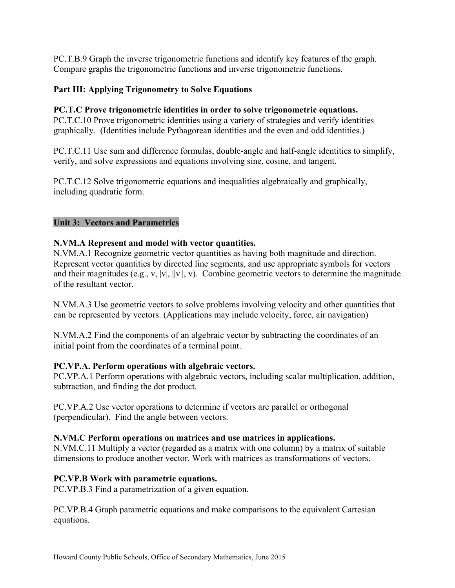PC.T.B.9 Graph the inverse trigonometric functions and identify key features of the graph. Compare graphs the trigonometric functions and inverse trigonometric functions.

# **Part III: Applying Trigonometry to Solve Equations**

#### **PC.T.C Prove trigonometric identities in order to solve trigonometric equations.**

PC.T.C.10 Prove trigonometric identities using a variety of strategies and verify identities graphically. (Identities include Pythagorean identities and the even and odd identities.)

PC.T.C.11 Use sum and difference formulas, double-angle and half-angle identities to simplify, verify, and solve expressions and equations involving sine, cosine, and tangent.

PC.T.C.12 Solve trigonometric equations and inequalities algebraically and graphically, including quadratic form.

## **Unit 3: Vectors and Parametrics**

## **N.VM.A Represent and model with vector quantities.**

N.VM.A.1 Recognize geometric vector quantities as having both magnitude and direction. Represent vector quantities by directed line segments, and use appropriate symbols for vectors and their magnitudes (e.g., v, |v|, ||v||, v). Combine geometric vectors to determine the magnitude of the resultant vector.

N.VM.A.3 Use geometric vectors to solve problems involving velocity and other quantities that can be represented by vectors. (Applications may include velocity, force, air navigation)

N.VM.A.2 Find the components of an algebraic vector by subtracting the coordinates of an initial point from the coordinates of a terminal point.

#### **PC.VP.A. Perform operations with algebraic vectors.**

PC.VP.A.1 Perform operations with algebraic vectors, including scalar multiplication, addition, subtraction, and finding the dot product.

PC.VP.A.2 Use vector operations to determine if vectors are parallel or orthogonal (perpendicular). Find the angle between vectors.

## **N.VM.C Perform operations on matrices and use matrices in applications.**

N.VM.C.11 Multiply a vector (regarded as a matrix with one column) by a matrix of suitable dimensions to produce another vector. Work with matrices as transformations of vectors.

## **PC.VP.B Work with parametric equations.**

PC.VP.B.3 Find a parametrization of a given equation.

PC.VP.B.4 Graph parametric equations and make comparisons to the equivalent Cartesian equations.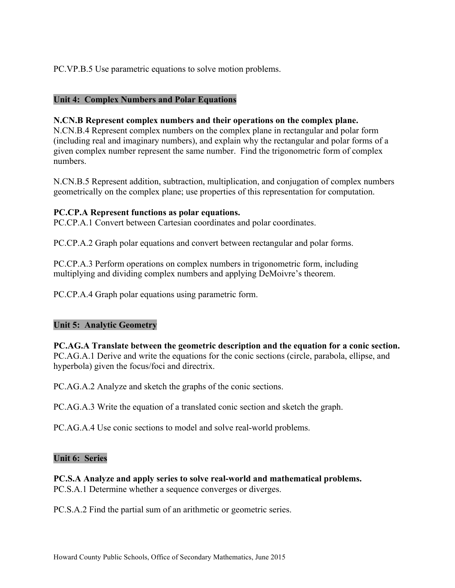PC.VP.B.5 Use parametric equations to solve motion problems.

# **Unit 4: Complex Numbers and Polar Equations**

## **N.CN.B Represent complex numbers and their operations on the complex plane.**

N.CN.B.4 Represent complex numbers on the complex plane in rectangular and polar form (including real and imaginary numbers), and explain why the rectangular and polar forms of a given complex number represent the same number. Find the trigonometric form of complex numbers.

N.CN.B.5 Represent addition, subtraction, multiplication, and conjugation of complex numbers geometrically on the complex plane; use properties of this representation for computation.

#### **PC.CP.A Represent functions as polar equations.**

PC.CP.A.1 Convert between Cartesian coordinates and polar coordinates.

PC.CP.A.2 Graph polar equations and convert between rectangular and polar forms.

PC.CP.A.3 Perform operations on complex numbers in trigonometric form, including multiplying and dividing complex numbers and applying DeMoivre's theorem.

PC.CP.A.4 Graph polar equations using parametric form.

#### **Unit 5: Analytic Geometry**

**PC.AG.A Translate between the geometric description and the equation for a conic section.** PC.AG.A.1 Derive and write the equations for the conic sections (circle, parabola, ellipse, and hyperbola) given the focus/foci and directrix.

PC.AG.A.2 Analyze and sketch the graphs of the conic sections.

PC.AG.A.3 Write the equation of a translated conic section and sketch the graph.

PC.AG.A.4 Use conic sections to model and solve real-world problems.

#### **Unit 6: Series**

**PC.S.A Analyze and apply series to solve real-world and mathematical problems.** PC.S.A.1 Determine whether a sequence converges or diverges.

PC.S.A.2 Find the partial sum of an arithmetic or geometric series.